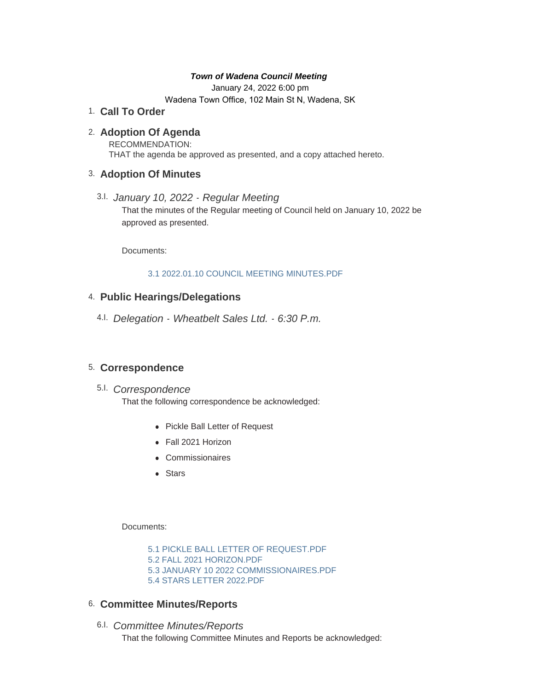#### *Town of Wadena Council Meeting*

January 24, 2022 6:00 pm Wadena Town Office, 102 Main St N, Wadena, SK

# **Call To Order** 1.

### **Adoption Of Agenda** 2.

RECOMMENDATION: THAT the agenda be approved as presented, and a copy attached hereto.

### **Adoption Of Minutes** 3.

*January 10, 2022 - Regular Meeting*  3.I. That the minutes of the Regular meeting of Council held on January 10, 2022 be approved as presented.

Documents:

#### [3.1 2022.01.10 COUNCIL MEETING MINUTES.PDF](http://townofwadena.com/AgendaCenter/ViewFile/Item/3311?fileID=3935)

# **Public Hearings/Delegations** 4.

*Delegation - Wheatbelt Sales Ltd. - 6:30 P.m.* 4.I.

# **Correspondence** 5.

# *Correspondence* 5.I.

That the following correspondence be acknowledged:

- Pickle Ball Letter of Request
- Fall 2021 Horizon
- Commissionaires
- $\bullet$  Stars

Documents:

[5.1 PICKLE BALL LETTER OF REQUEST.PDF](http://townofwadena.com/AgendaCenter/ViewFile/Item/3315?fileID=3931) [5.2 FALL 2021 HORIZON.PDF](http://townofwadena.com/AgendaCenter/ViewFile/Item/3315?fileID=3932) [5.3 JANUARY 10 2022 COMMISSIONAIRES.PDF](http://townofwadena.com/AgendaCenter/ViewFile/Item/3315?fileID=3933) [5.4 STARS LETTER 2022.PDF](http://townofwadena.com/AgendaCenter/ViewFile/Item/3315?fileID=3934)

# **Committee Minutes/Reports** 6.

*Committee Minutes/Reports* 6.I. That the following Committee Minutes and Reports be acknowledged: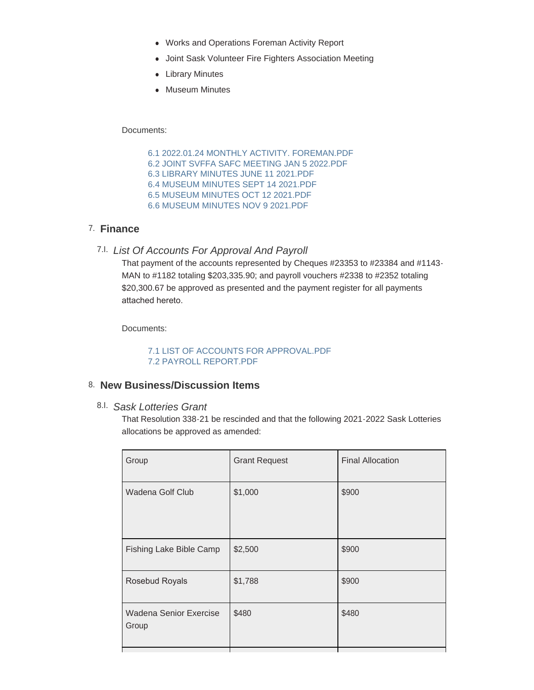- Works and Operations Foreman Activity Report
- Joint Sask Volunteer Fire Fighters Association Meeting
- Library Minutes
- Museum Minutes

Documents:

[6.1 2022.01.24 MONTHLY ACTIVITY. FOREMAN.PDF](http://townofwadena.com/AgendaCenter/ViewFile/Item/3317?fileID=3925) [6.2 JOINT SVFFA SAFC MEETING JAN 5 2022.PDF](http://townofwadena.com/AgendaCenter/ViewFile/Item/3317?fileID=3926) [6.3 LIBRARY MINUTES JUNE 11 2021.PDF](http://townofwadena.com/AgendaCenter/ViewFile/Item/3317?fileID=3927) [6.4 MUSEUM MINUTES SEPT 14 2021.PDF](http://townofwadena.com/AgendaCenter/ViewFile/Item/3317?fileID=3928) [6.5 MUSEUM MINUTES OCT 12 2021.PDF](http://townofwadena.com/AgendaCenter/ViewFile/Item/3317?fileID=3929) [6.6 MUSEUM MINUTES NOV 9 2021.PDF](http://townofwadena.com/AgendaCenter/ViewFile/Item/3317?fileID=3930)

# **Finance** 7.

*List Of Accounts For Approval And Payroll* 7.I.

That payment of the accounts represented by Cheques #23353 to #23384 and #1143- MAN to #1182 totaling \$203,335.90; and payroll vouchers #2338 to #2352 totaling \$20,300.67 be approved as presented and the payment register for all payments attached hereto.

Documents:

[7.1 LIST OF ACCOUNTS FOR APPROVAL.PDF](http://townofwadena.com/AgendaCenter/ViewFile/Item/3319?fileID=3936) [7.2 PAYROLL REPORT.PDF](http://townofwadena.com/AgendaCenter/ViewFile/Item/3319?fileID=3937)

### **New Business/Discussion Items** 8.

*Sask Lotteries Grant* 8.I.

That Resolution 338-21 be rescinded and that the following 2021-2022 Sask Lotteries allocations be approved as amended:

| Group                           | <b>Grant Request</b> | <b>Final Allocation</b> |
|---------------------------------|----------------------|-------------------------|
| Wadena Golf Club                | \$1,000              | \$900                   |
| Fishing Lake Bible Camp         | \$2,500              | \$900                   |
| Rosebud Royals                  | \$1,788              | \$900                   |
| Wadena Senior Exercise<br>Group | \$480                | \$480                   |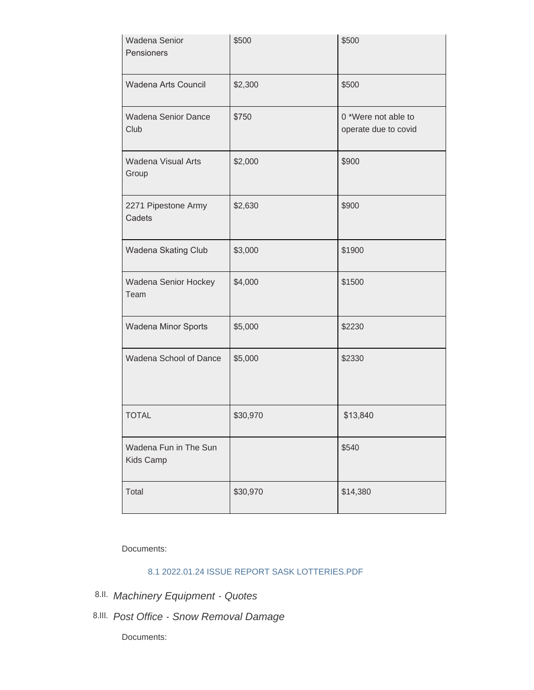| Wadena Senior<br>Pensioners        | \$500    | \$500                                       |
|------------------------------------|----------|---------------------------------------------|
| Wadena Arts Council                | \$2,300  | \$500                                       |
| <b>Wadena Senior Dance</b><br>Club | \$750    | 0 *Were not able to<br>operate due to covid |
| <b>Wadena Visual Arts</b><br>Group | \$2,000  | \$900                                       |
| 2271 Pipestone Army<br>Cadets      | \$2,630  | \$900                                       |
| Wadena Skating Club                | \$3,000  | \$1900                                      |
| Wadena Senior Hockey<br>Team       | \$4,000  | \$1500                                      |
| Wadena Minor Sports                | \$5,000  | \$2230                                      |
| Wadena School of Dance             | \$5,000  | \$2330                                      |
| <b>TOTAL</b>                       | \$30,970 | \$13,840                                    |
| Wadena Fun in The Sun<br>Kids Camp |          | \$540                                       |
| Total                              | \$30,970 | \$14,380                                    |

Documents:

# [8.1 2022.01.24 ISSUE REPORT SASK LOTTERIES.PDF](http://townofwadena.com/AgendaCenter/ViewFile/Item/3327?fileID=3940)

- *Machinery Equipment Quotes* 8.II.
- *Post Office Snow Removal Damage* 8.III.

Documents: